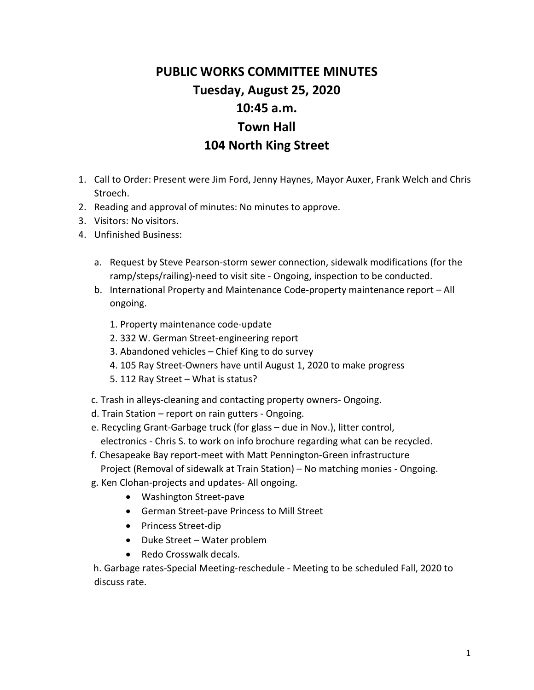## **PUBLIC WORKS COMMITTEE MINUTES Tuesday, August 25, 2020 10:45 a.m. Town Hall 104 North King Street**

- 1. Call to Order: Present were Jim Ford, Jenny Haynes, Mayor Auxer, Frank Welch and Chris Stroech.
- 2. Reading and approval of minutes: No minutes to approve.
- 3. Visitors: No visitors.
- 4. Unfinished Business:
	- a. Request by Steve Pearson-storm sewer connection, sidewalk modifications (for the ramp/steps/railing)-need to visit site - Ongoing, inspection to be conducted.
	- b. International Property and Maintenance Code-property maintenance report All ongoing.
		- 1. Property maintenance code-update
		- 2. 332 W. German Street-engineering report
		- 3. Abandoned vehicles Chief King to do survey
		- 4. 105 Ray Street-Owners have until August 1, 2020 to make progress
		- 5. 112 Ray Street What is status?
	- c. Trash in alleys-cleaning and contacting property owners- Ongoing.
	- d. Train Station report on rain gutters Ongoing.
	- e. Recycling Grant-Garbage truck (for glass due in Nov.), litter control, electronics - Chris S. to work on info brochure regarding what can be recycled.
	- f. Chesapeake Bay report-meet with Matt Pennington-Green infrastructure Project (Removal of sidewalk at Train Station) – No matching monies - Ongoing.
	- g. Ken Clohan-projects and updates- All ongoing.
		- Washington Street-pave
		- German Street-pave Princess to Mill Street
		- Princess Street-dip
		- Duke Street Water problem
		- Redo Crosswalk decals.

 h. Garbage rates-Special Meeting-reschedule - Meeting to be scheduled Fall, 2020 to discuss rate.